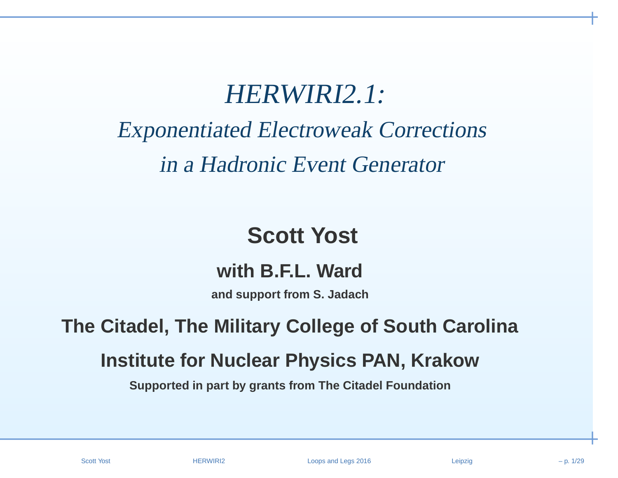# HERWIRI2.1:

# Exponentiated Electroweak Correctionsin <sup>a</sup> Hadronic Event Generator

# **Scott Yost**

#### **with B.F.L. Ward**

**and support from S. Jadach**

# **The Citadel, The Military College of South Carolina**

# **Institute for Nuclear Physics PAN, Krakow**

**Supported in part by grants from The Citadel Foundation**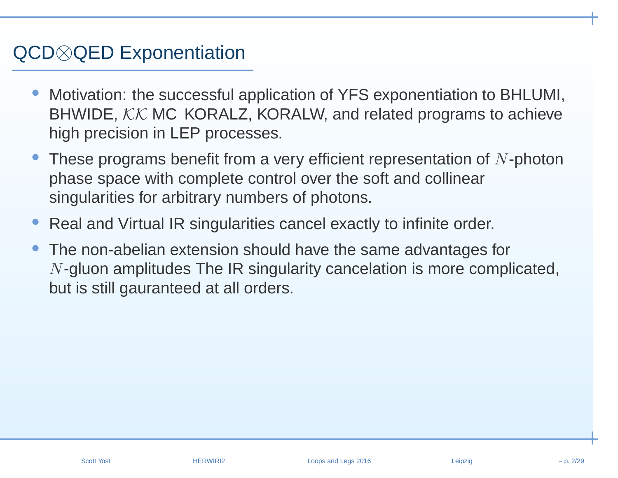# QCD⊗QED Exponentiation

- • Motivation: the successful application of YFS exponentiation to BHLUMI, BHWIDE,  $\mathcal{KK}$  MC KORALZ, KORALW, and related programs to achieve<br>high precision in LEB presences high precision in LEP processes.
- •These programs benefit from a very efficient representation of  $N$ -photon phase space with complete control over the soft and collinearsingularities for arbitrary numbers of photons.
- •• Real and Virtual IR singularities cancel exactly to infinite order.
- • The non-abelian extension should have the same advantages for $N$ -gluon amplitudes The IR singularity cancelation is more complicated, but is still gauranteed at all orders.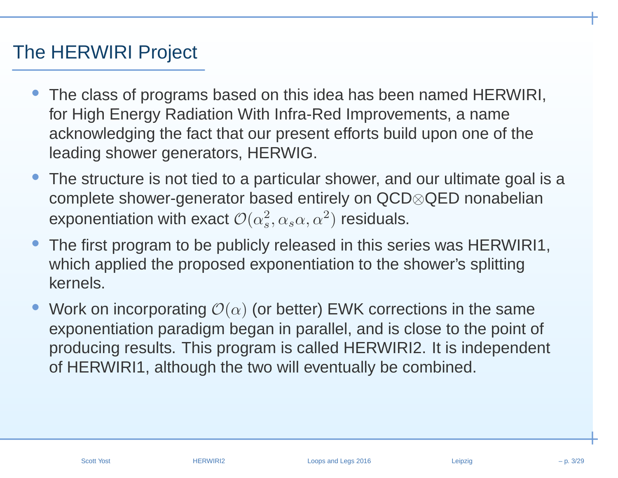# The HERWIRI Project

- The class of programs based on this idea has been named HERWIRI, for High Energy Radiation With Infra-Red Improvements, <sup>a</sup> name acknowledging the fact that our present efforts build upon one of theleading shower generators, HERWIG.
- • The structure is not tied to <sup>a</sup> particular shower, and our ultimate goal is <sup>a</sup>complete shower-generator based entirely on QCD⊗QED nonabelianexponentiation with exact  ${\cal O}(\alpha_s^2,\alpha_s\alpha,\alpha^2)$  residuals.
- • The first program to be publicly released in this series was HERWIRI1, which applied the proposed exponentiation to the shower's splittingkernels.
- •• Work on incorporating  $\mathcal{O}(\alpha)$  (or better) EWK corrections in the same exponentiation paradigm began in parallel, and is close to the point of producing results. This program is called HERWIRI2. It is independent of HERWIRI1, although the two will eventually be combined.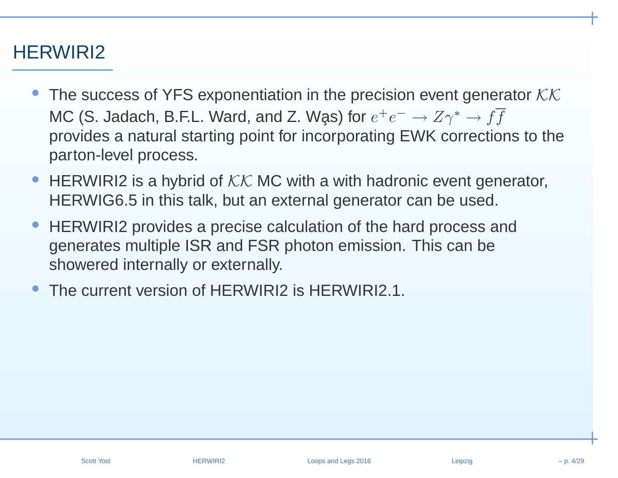## HERWIRI2

- The success of YFS exponentiation in the precision event generator  $\mathcal{KK}$ MC (S. Jadach, B.F.L. Ward, and Z. Wḁs) for  $e^+e^-\to Z\gamma^*\to ff$ provides <sup>a</sup> natural starting point for incorporating EWK corrections to theparton-level process.
- •• HERWIRI2 is a hybrid of  $KK$  MC with a with hadronic event generator,<br>UEDWICS 5 in this talk, but an axternal generator and he used HERWIG6.5 in this talk, but an external generator can be used.
- •• HERWIRI2 provides a precise calculation of the hard process and generates multiple ISR and FSR photon emission. This can beshowered internally or externally.
- •The current version of HFRWIRI2 is HFRWIRI2.1.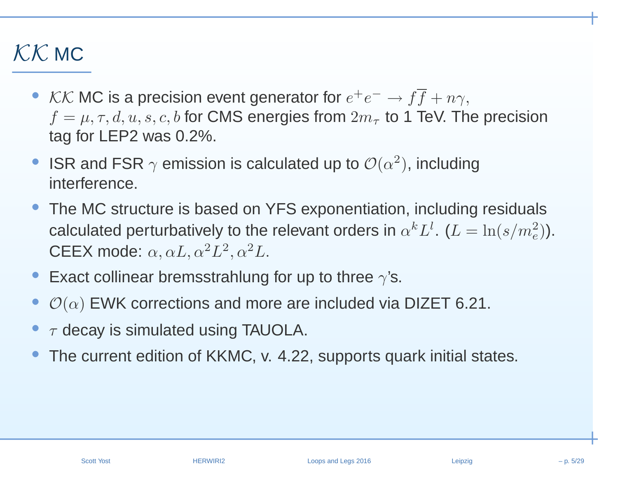# $\mathcal{K}\mathcal{K}$  MC

- KK MC is a precision event generator for  $e^+e^- \to ff + n\gamma$ ,<br> $f = \mu \neq d$   $u$  s c b for CMS energies from  $2m$  to 1 TeV. The  $f = \mu, \tau, d, u, s, c, b$  for CMS energies from  $2m_{\tau}$  to 1 TeV. The precision<br>tog for LED3 wes 0.3% tag for LEP2 was 0.2%.
- •ISR and FSR  $\gamma$  emission is calculated up to  $\mathcal{O}(\alpha^2)$ , including interference.
- The MC structure is based on YFS exponentiation, including residualscalculated perturbatively to the relevant orders in  $\alpha^k L^l$ .  $(L = \ln(s/m_e^2))$ . CEEX mode:  $\alpha, \alpha L, \alpha^2 L^2, \alpha^2 L$ .
- • $\bullet~$  Exact collinear bremsstrahlung for up to three  $\gamma$ 's.
- • $\bullet$   $\mathcal{O}(\alpha)$  EWK corrections and more are included via DIZET 6.21.
- ••  $\tau$  decay is simulated using TAUOLA.
- •The current edition of KKMC, v. 4.22, supports quark initial states.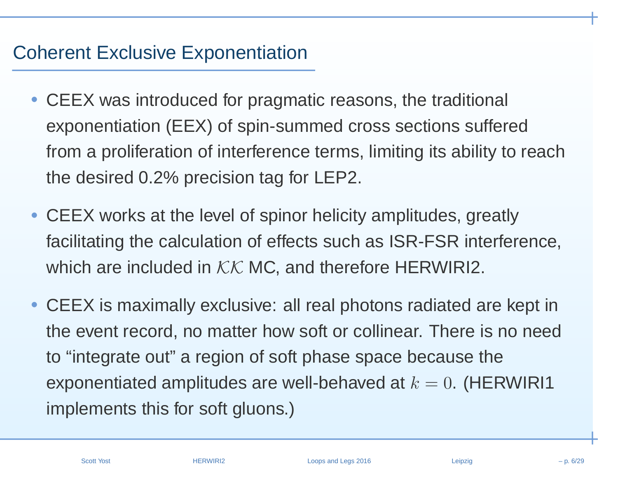# Coherent Exclusive Exponentiation

- $\bullet$  CEEX was introduced for pragmatic reasons, the traditional exponentiation (EEX) of spin-summed cross sections sufferedfrom <sup>a</sup> proliferation of interference terms, limiting its ability to reachthe desired 0.2% precision tag for LEP2.
- CEEX works at the level of spinor helicity amplitudes, greatlyfacilitating the calculation of effects such as ISR-FSR interference, which are included in  $\mathcal{KK}$  MC, and therefore HERWIRI2.
- CEEX is maximally exclusive: all real photons radiated are kept inthe event record, no matter how soft or collinear. There is no need to "integrate out" <sup>a</sup> region of soft phase space because theexponentiated amplitudes are well-behaved at  $k=0.$  (HERWIRI1  $\,$ implements this for soft gluons.)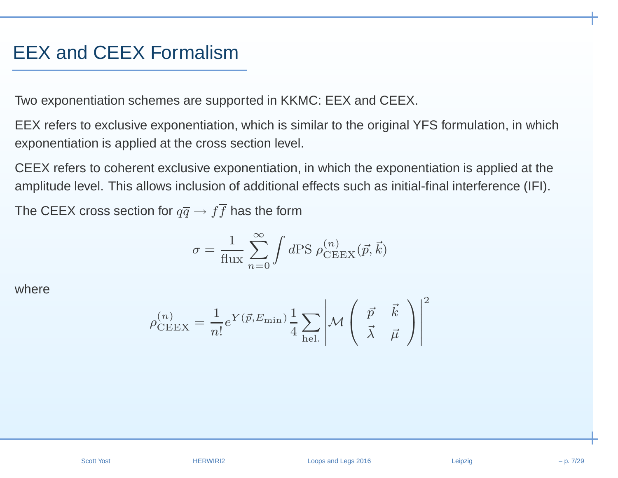#### EEX and CEEX Formalism

Two exponentiation schemes are supported in KKMC: EEX and CEEX.

EEX refers to exclusive exponentiation, which is similar to the original YFS formulation, in which exponentiation is applied at the cross section level.

CEEX refers to coherent exclusive exponentiation, in which the exponentiation is applied at the amplitude level. This allows inclusion of additional effects such as initial-final interference (IFI).

The CEEX cross section for  $q\overline{q} \rightarrow ff$  has the form

$$
\sigma = \frac{1}{\text{flux}} \sum_{n=0}^{\infty} \int d\text{PS } \rho_{\text{CEEX}}^{(n)}(\vec{p}, \vec{k})
$$

where

$$
\rho_{\text{CEEX}}^{(n)} = \frac{1}{n!} e^{Y(\vec{p}, E_{\text{min}})} \frac{1}{4} \sum_{\text{hel.}} \left| \mathcal{M} \begin{pmatrix} \vec{p} & \vec{k} \\ \vec{\lambda} & \vec{\mu} \end{pmatrix} \right|^2
$$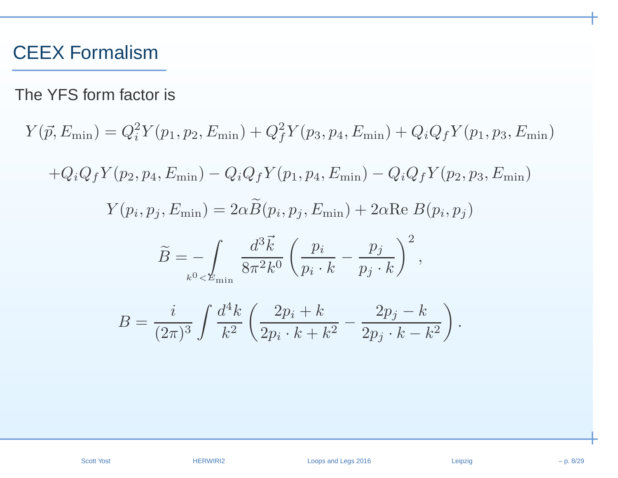#### CEEX Formalism

The YFS form factor is

 $Y(\vec{p}, E_{\min}) = Q_i^2 Y(p_1, p_2, E_{\min}) + Q_f^2 Y(p_3, p_4, E_{\min}) + Q_i Q_f Y(p_1, p_3, E_{\min})$  $+Q_iQ_fY(p_2, p_4, E_{\min}) - Q_iQ_fY(p_1, p_4, E_{\min}) - Q_iQ_fY(p_2, p_3, E_{\min})$  $Y(p_i, p_j, E_{\min}) = 2\alpha \widetilde{B}(p_i, p_j, E_{\min}) + 2\alpha \text{Re } B(p_i, p_j)$  $\, B \,$  $\widetilde{\phantom{m}}$ = $= - \int\limits_{k^0 < E_{\rm min}} \frac{d^3\vec{k}}{8\pi^2k^0} \left( \frac{p_i}{p_i\cdot k} - \frac{p_j}{p_j\cdot k} \right)^2,$  $B = \frac{i}{(2\pi)^3} \int \frac{d^4k}{k^2} \left( \frac{2p_i + k}{2p_i \cdot k + k^2} - \frac{2p_j - k}{2p_j \cdot k - k^2} \right).$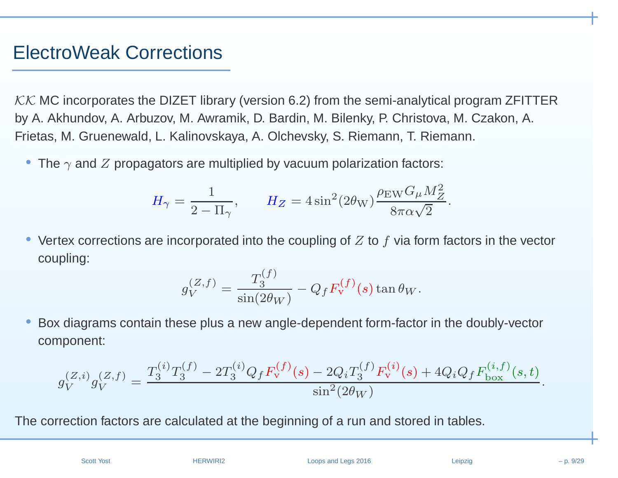#### ElectroWeak Corrections

 $\cal{KK}$  MC incorporates the DIZET library (version 6.2) from the semi-analytical program ZFITTER by A. Akhundov, A. Arbuzov, M. Awramik, D. Bardin, M. Bilenky, P. Christova, M. Czakon, A. Frietas, M. Gruenewald, L. Kalinovskaya, A. Olchevsky, S. Riemann, T. Riemann.

 $\bullet\,$  The  $\gamma$  and  $Z$  propagators are multiplied by vacuum polarization factors:

$$
H_{\gamma} = \frac{1}{2 - \Pi_{\gamma}}, \qquad H_Z = 4 \sin^2(2\theta_{\rm W}) \frac{\rho_{\rm EW} G_{\mu} M_Z^2}{8\pi \alpha \sqrt{2}}.
$$

•• Vertex corrections are incorporated into the coupling of  $Z$  to  $f$  via form factors in the vector coupling:

$$
g_V^{(Z,f)} = \frac{T_3^{(f)}}{\sin(2\theta_W)} - Q_f F_{\mathbf{v}}^{(f)}(s) \tan \theta_W.
$$

• Box diagrams contain these plus <sup>a</sup> new angle-dependent form-factor in the doubly-vectorcomponent:

$$
g_V^{(Z,i)}g_V^{(Z,f)} = \frac{T_3^{(i)}T_3^{(f)} - 2T_3^{(i)}Q_fF_V^{(f)}(s) - 2Q_iT_3^{(f)}F_V^{(i)}(s) + 4Q_iQ_fF_{\text{box}}^{(i,f)}(s,t)}{\sin^2(2\theta_W)}.
$$

The correction factors are calculated at the beginning of <sup>a</sup> run and stored in tables.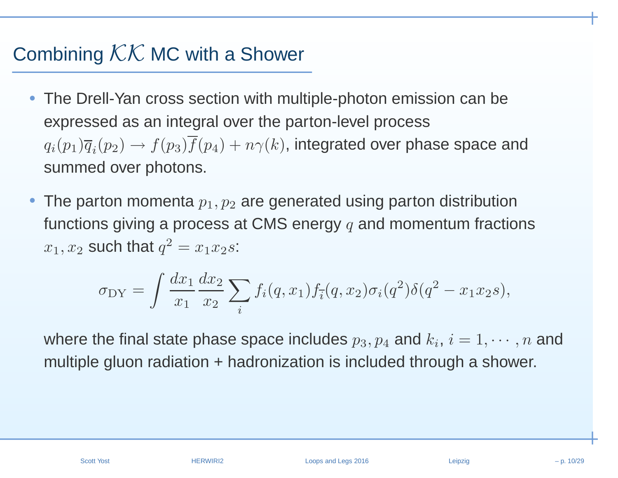# Combining  $KK$  MC with a Shower

- The Drell-Yan cross section with multiple-photon emission can be expressed as an integral over the parton-level process $q_i(p_1)\overline{q}_i(p_2) \rightarrow f(p_3)f(p_4) + n \gamma(k),$  integrated over phase space and summed over photons.
- • $\bullet\,$  The parton momenta  $p_1, p_2$  are generated using parton distribution functions giving a process at CMS energy  $q$  and momentum fractions  $x_1, x_2$  such that  $q^2 = x_1x_2s$ :

$$
\sigma_{DY} = \int \frac{dx_1}{x_1} \frac{dx_2}{x_2} \sum_i f_i(q, x_1) f_{\overline{i}}(q, x_2) \sigma_i(q^2) \delta(q^2 - x_1 x_2 s),
$$

where the final state phase space includes  $p_3, p_4$  and  $k_i, \, i=1,\cdots,n$  and multiple gluon radiation <sup>+</sup> hadronization is included through <sup>a</sup> shower.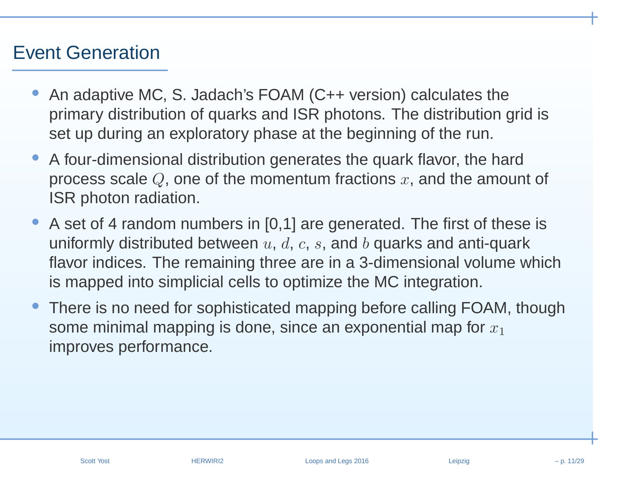#### Event Generation

- • An adaptive MC, S. Jadach's FOAM (C++ version) calculates the primary distribution of quarks and ISR photons. The distribution grid isset up during an exploratory phase at the beginning of the run.
- • A four-dimensional distribution generates the quark flavor, the hardprocess scale  $Q$ , one of the momentum fractions  $x,$  and the amount of ISR photon radiation.
- • A set of <sup>4</sup> random numbers in [0,1] are generated. The first of these isuniformly distributed between  $u, \, d, \, c, \, s,$  and  $b$  quarks and anti-quark flavor indices. The remaining three are in <sup>a</sup> 3-dimensional volume whichis mapped into simplicial cells to optimize the MC integration.
- • There is no need for sophisticated mapping before calling FOAM, thoughsome minimal mapping is done, since an exponential map for  $x_1$ improves performance.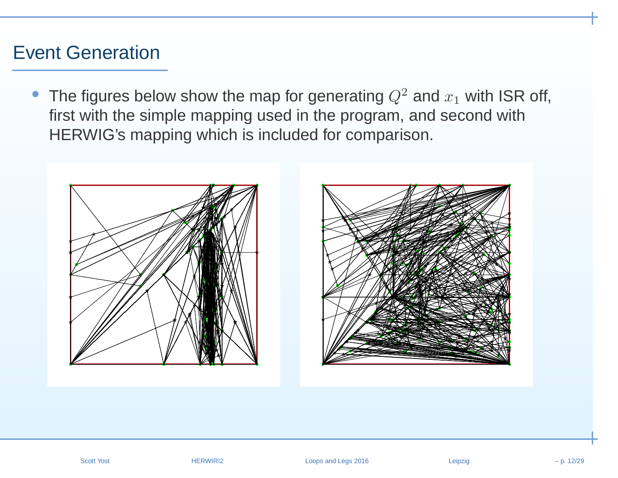#### Event Generation

• The figures below show the map for generating  $Q^2$  and  $x_1$  with ISR off, first with the simple mapping used in the program, and second withHERWIG's mapping which is included for comparison.



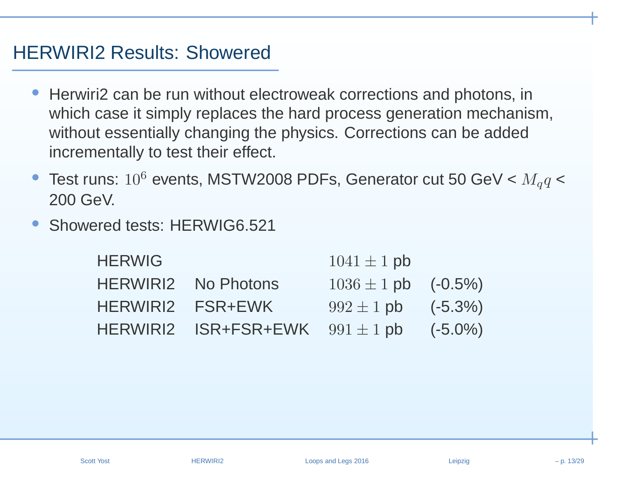#### HERWIRI2 Results: Showered

- • Herwiri2 can be run without electroweak corrections and photons, in which case it simply replaces the hard process generation mechanism, without essentially changing the physics. Corrections can be added incrementally to test their effect.
- •• Test runs:  $10^6$  events, MSTW2008 PDFs, Generator cut 50 GeV <  $M_q q$  < 200 GeV.
- •Showered tests: HERWIG6.521

| <b>HERWIG</b>   |                              | $1041 \pm 1$ pb            |            |
|-----------------|------------------------------|----------------------------|------------|
| <b>HERWIRI2</b> | No Photons                   | $1036 \pm 1$ pb $(-0.5\%)$ |            |
|                 | HERWIRI2 FSR+EWK             | $992 \pm 1$ pb             | $(-5.3%)$  |
| <b>HERWIRI2</b> | $ISR+FSR+EWK$ $991 \pm 1$ pb |                            | $(-5.0\%)$ |
|                 |                              |                            |            |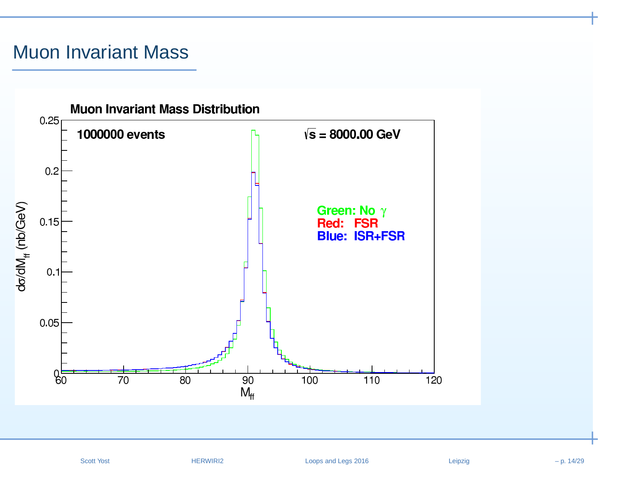# Muon Invariant Mass

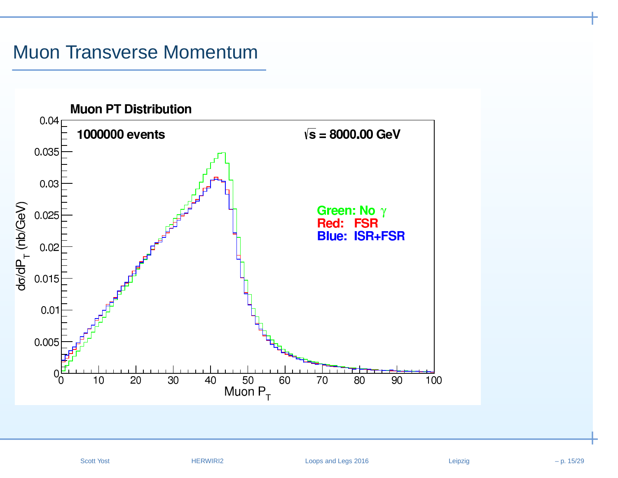#### Muon Transverse Momentum

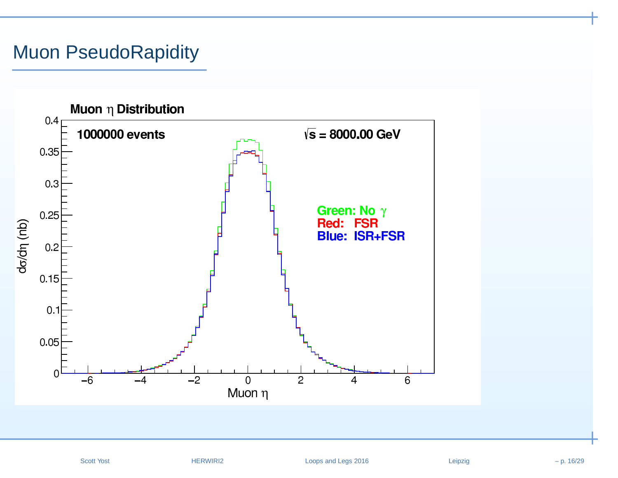## Muon PseudoRapidity

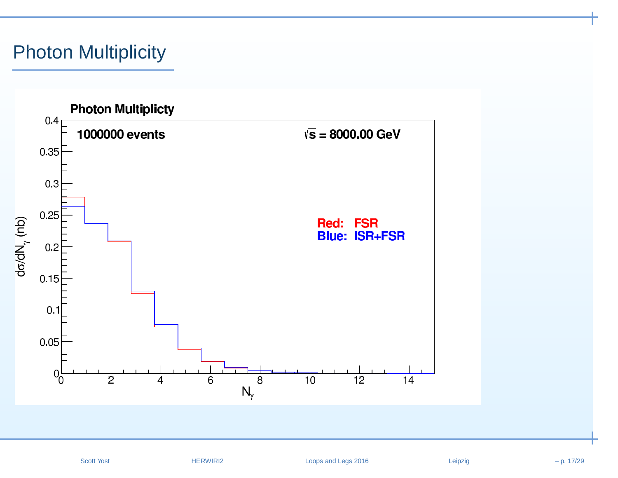## Photon Multiplicity

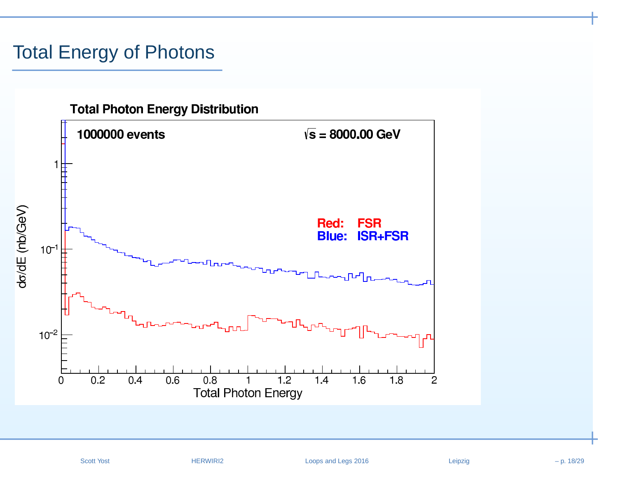## Total Energy of Photons

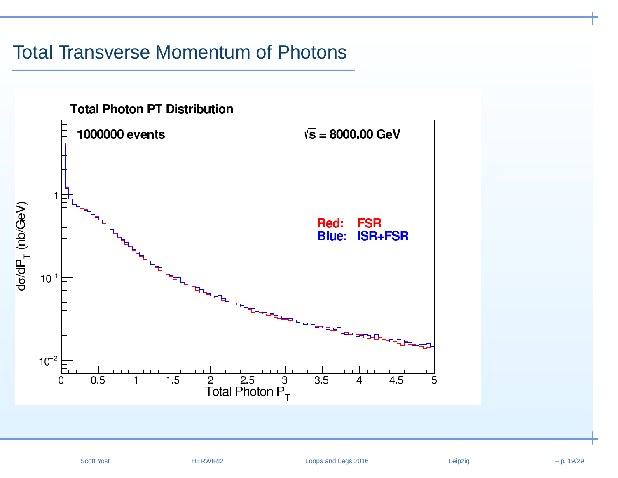#### Total Transverse Momentum of Photons

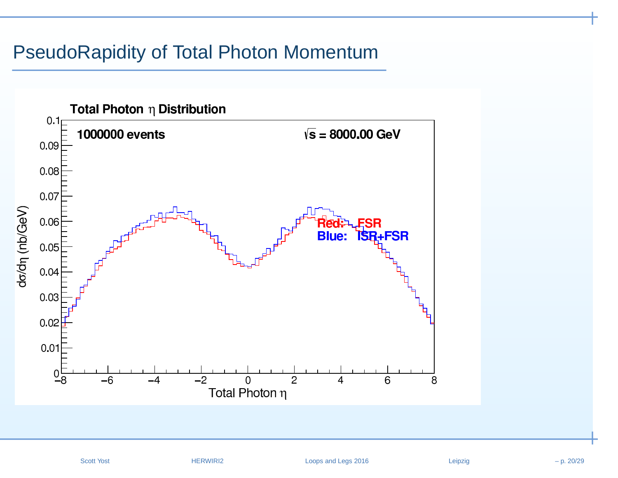#### PseudoRapidity of Total Photon Momentum

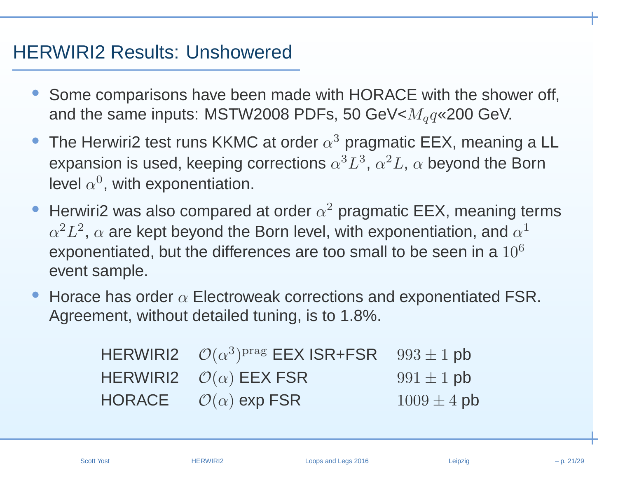# HERWIRI2 Results: Unshowered

- • Some comparisons have been made with HORACE with the shower off, and the same inputs: MSTW2008 PDFs, 50 GeV< $M_q q$ «200 GeV.
- •• The Herwiri2 test runs KKMC at order  $\alpha^3$  pragmatic EEX, meaning a LL expansion is used, keeping corrections  $\alpha^3$  $^3L^3$  $\degree$ ,  $\alpha$ 2 ${}^2L,\,\alpha$  beyond the Born level  $\alpha^0$ , with exponentiation.
- •• Herwiri2 was also compared at order  $\alpha^2$  pragmatic EEX, meaning terms  $\alpha^2 L^2$ .  $\alpha$  are kept bevond the Born leve exponentiated, but the differences are too small to be seen in a  $10^6\,$  $^2L^2$  $^2$ ,  $\alpha$  are kept beyond the Born level, with exponentiation, and  $\alpha^1$ event sample.
- •• Horace has order  $\alpha$  Electroweak corrections and exponentiated FSR. Agreement, without detailed tuning, is to 1.8%.

| HERWIRI2 $\mathcal{O}(\alpha^3)^{prag}$ EEX ISR+FSR $993 \pm 1$ pb |                 |
|--------------------------------------------------------------------|-----------------|
| HERWIRI2 $\mathcal{O}(\alpha)$ EEX FSR                             | $991 \pm 1$ pb  |
| HORACE $\mathcal{O}(\alpha)$ exp FSR                               | $1009 \pm 4$ pb |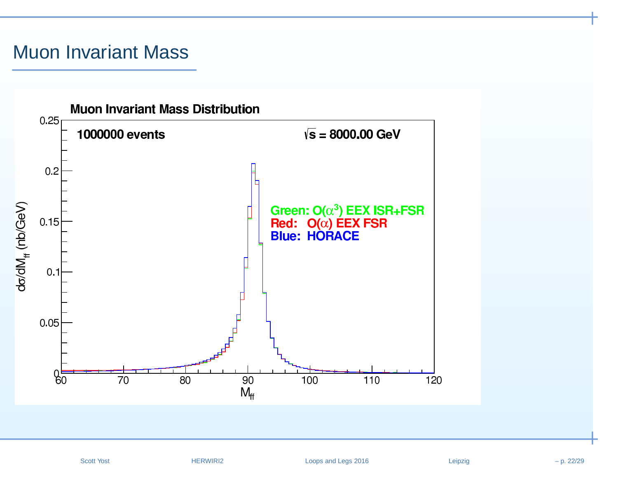# Muon Invariant Mass

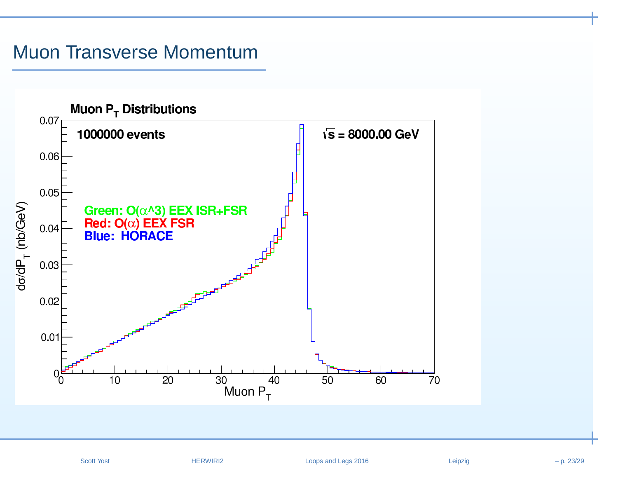#### Muon Transverse Momentum

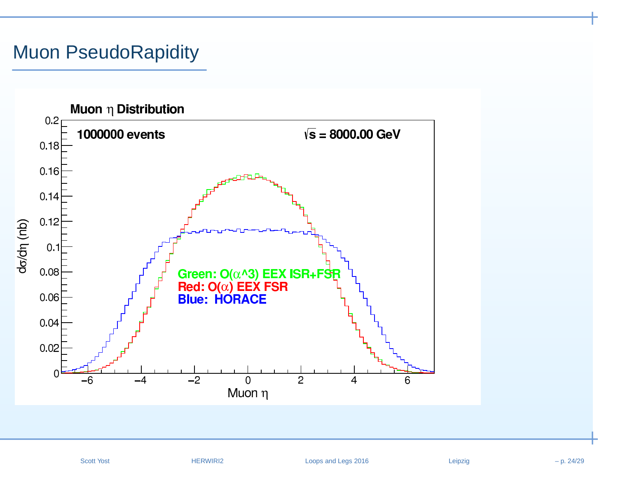## Muon PseudoRapidity

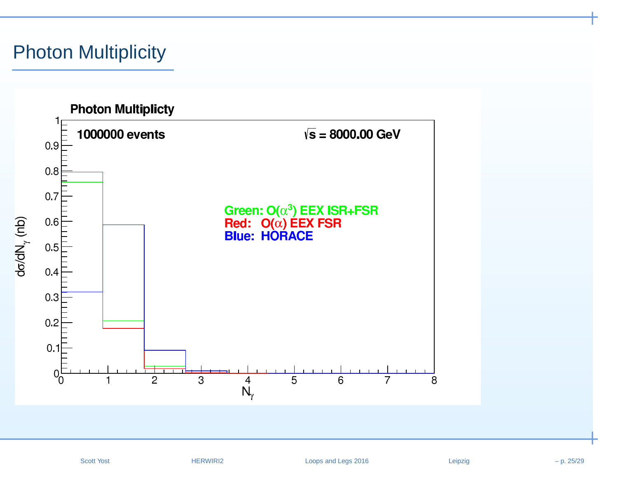## Photon Multiplicity



Scott Yost **EXALLO HERWIRI2** Loops and Legs 2016 Leipzig Leipzig – p. 25/29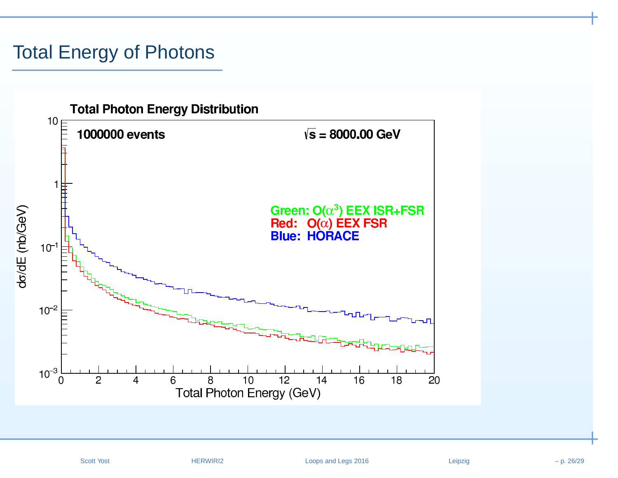# Total Energy of Photons

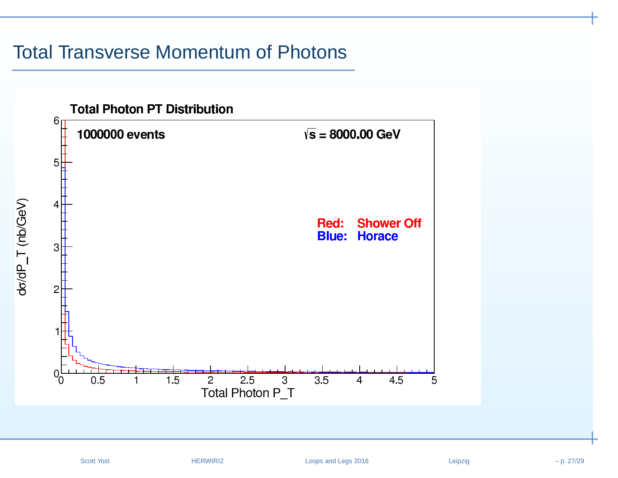#### Total Transverse Momentum of Photons

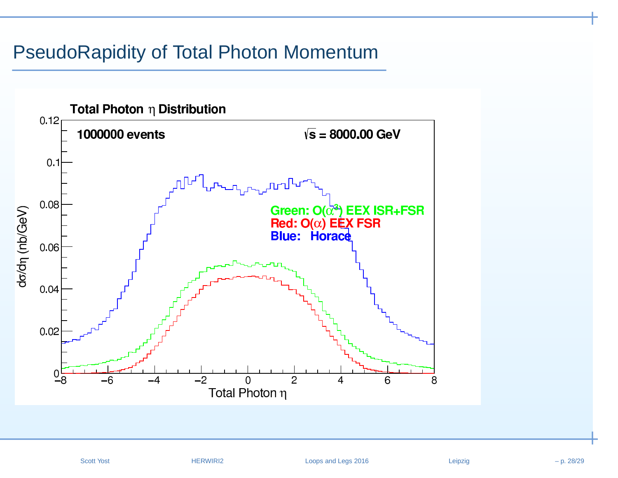#### PseudoRapidity of Total Photon Momentum